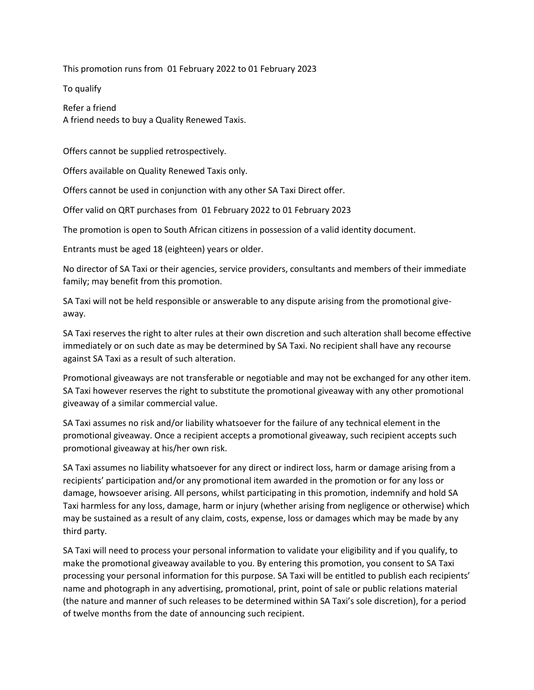This promotion runs from 01 February 2022 to 01 February 2023

To qualify

Refer a friend A friend needs to buy a Quality Renewed Taxis.

Offers cannot be supplied retrospectively.

Offers available on Quality Renewed Taxis only.

Offers cannot be used in conjunction with any other SA Taxi Direct offer.

Offer valid on QRT purchases from 01 February 2022 to 01 February 2023

The promotion is open to South African citizens in possession of a valid identity document.

Entrants must be aged 18 (eighteen) years or older.

No director of SA Taxi or their agencies, service providers, consultants and members of their immediate family; may benefit from this promotion.

SA Taxi will not be held responsible or answerable to any dispute arising from the promotional giveaway.

SA Taxi reserves the right to alter rules at their own discretion and such alteration shall become effective immediately or on such date as may be determined by SA Taxi. No recipient shall have any recourse against SA Taxi as a result of such alteration.

Promotional giveaways are not transferable or negotiable and may not be exchanged for any other item. SA Taxi however reserves the right to substitute the promotional giveaway with any other promotional giveaway of a similar commercial value.

SA Taxi assumes no risk and/or liability whatsoever for the failure of any technical element in the promotional giveaway. Once a recipient accepts a promotional giveaway, such recipient accepts such promotional giveaway at his/her own risk.

SA Taxi assumes no liability whatsoever for any direct or indirect loss, harm or damage arising from a recipients' participation and/or any promotional item awarded in the promotion or for any loss or damage, howsoever arising. All persons, whilst participating in this promotion, indemnify and hold SA Taxi harmless for any loss, damage, harm or injury (whether arising from negligence or otherwise) which may be sustained as a result of any claim, costs, expense, loss or damages which may be made by any third party.

SA Taxi will need to process your personal information to validate your eligibility and if you qualify, to make the promotional giveaway available to you. By entering this promotion, you consent to SA Taxi processing your personal information for this purpose. SA Taxi will be entitled to publish each recipients' name and photograph in any advertising, promotional, print, point of sale or public relations material (the nature and manner of such releases to be determined within SA Taxi's sole discretion), for a period of twelve months from the date of announcing such recipient.